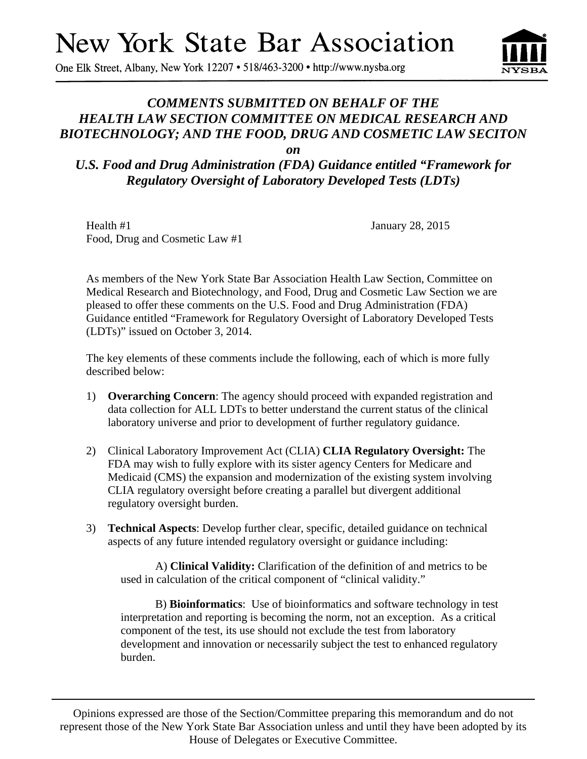# **New York State Bar Association**

One Elk Street, Albany, New York 12207 • 518/463-3200 • http://www.nysba.org

# *COMMENTS SUBMITTED ON BEHALF OF THE HEALTH LAW SECTION COMMITTEE ON MEDICAL RESEARCH AND BIOTECHNOLOGY; AND THE FOOD, DRUG AND COSMETIC LAW SECITON*

*on* 

*U.S. Food and Drug Administration (FDA) Guidance entitled "Framework for Regulatory Oversight of Laboratory Developed Tests (LDTs)* 

Health #1 January 28, 2015 Food, Drug and Cosmetic Law #1

As members of the New York State Bar Association Health Law Section, Committee on Medical Research and Biotechnology, and Food, Drug and Cosmetic Law Section we are pleased to offer these comments on the U.S. Food and Drug Administration (FDA) Guidance entitled "Framework for Regulatory Oversight of Laboratory Developed Tests (LDTs)" issued on October 3, 2014.

The key elements of these comments include the following, each of which is more fully described below:

- 1) **Overarching Concern**: The agency should proceed with expanded registration and data collection for ALL LDTs to better understand the current status of the clinical laboratory universe and prior to development of further regulatory guidance.
- 2) Clinical Laboratory Improvement Act (CLIA) **CLIA Regulatory Oversight:** The FDA may wish to fully explore with its sister agency Centers for Medicare and Medicaid (CMS) the expansion and modernization of the existing system involving CLIA regulatory oversight before creating a parallel but divergent additional regulatory oversight burden.
- 3) **Technical Aspects**: Develop further clear, specific, detailed guidance on technical aspects of any future intended regulatory oversight or guidance including:

A) **Clinical Validity:** Clarification of the definition of and metrics to be used in calculation of the critical component of "clinical validity."

B) **Bioinformatics**: Use of bioinformatics and software technology in test interpretation and reporting is becoming the norm, not an exception. As a critical component of the test, its use should not exclude the test from laboratory development and innovation or necessarily subject the test to enhanced regulatory burden.

Opinions expressed are those of the Section/Committee preparing this memorandum and do not represent those of the New York State Bar Association unless and until they have been adopted by its House of Delegates or Executive Committee.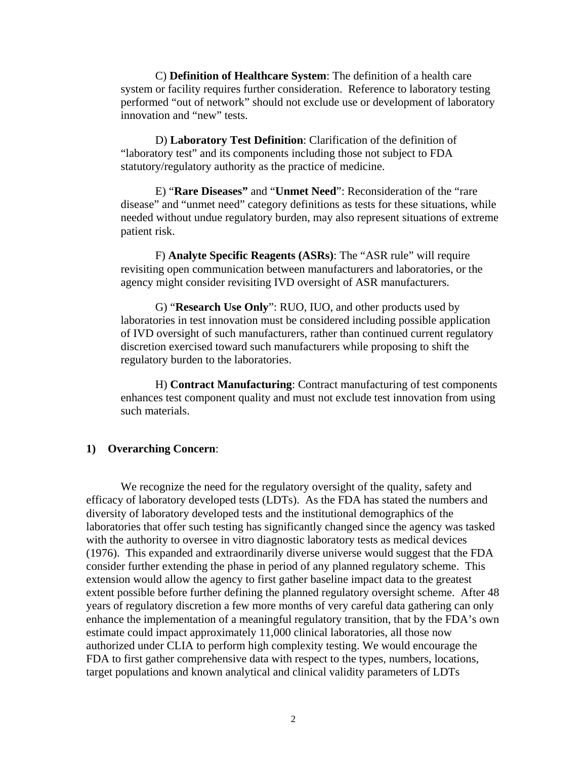C) **Definition of Healthcare System**: The definition of a health care system or facility requires further consideration. Reference to laboratory testing performed "out of network" should not exclude use or development of laboratory innovation and "new" tests.

D) **Laboratory Test Definition**: Clarification of the definition of "laboratory test" and its components including those not subject to FDA statutory/regulatory authority as the practice of medicine.

E) "**Rare Diseases"** and "**Unmet Need**": Reconsideration of the "rare disease" and "unmet need" category definitions as tests for these situations, while needed without undue regulatory burden, may also represent situations of extreme patient risk.

F) **Analyte Specific Reagents (ASRs)**: The "ASR rule" will require revisiting open communication between manufacturers and laboratories, or the agency might consider revisiting IVD oversight of ASR manufacturers.

G) "**Research Use Only**": RUO, IUO, and other products used by laboratories in test innovation must be considered including possible application of IVD oversight of such manufacturers, rather than continued current regulatory discretion exercised toward such manufacturers while proposing to shift the regulatory burden to the laboratories.

H) **Contract Manufacturing**: Contract manufacturing of test components enhances test component quality and must not exclude test innovation from using such materials.

#### **1) Overarching Concern**:

We recognize the need for the regulatory oversight of the quality, safety and efficacy of laboratory developed tests (LDTs). As the FDA has stated the numbers and diversity of laboratory developed tests and the institutional demographics of the laboratories that offer such testing has significantly changed since the agency was tasked with the authority to oversee in vitro diagnostic laboratory tests as medical devices (1976). This expanded and extraordinarily diverse universe would suggest that the FDA consider further extending the phase in period of any planned regulatory scheme. This extension would allow the agency to first gather baseline impact data to the greatest extent possible before further defining the planned regulatory oversight scheme. After 48 years of regulatory discretion a few more months of very careful data gathering can only enhance the implementation of a meaningful regulatory transition, that by the FDA's own estimate could impact approximately 11,000 clinical laboratories, all those now authorized under CLIA to perform high complexity testing. We would encourage the FDA to first gather comprehensive data with respect to the types, numbers, locations, target populations and known analytical and clinical validity parameters of LDTs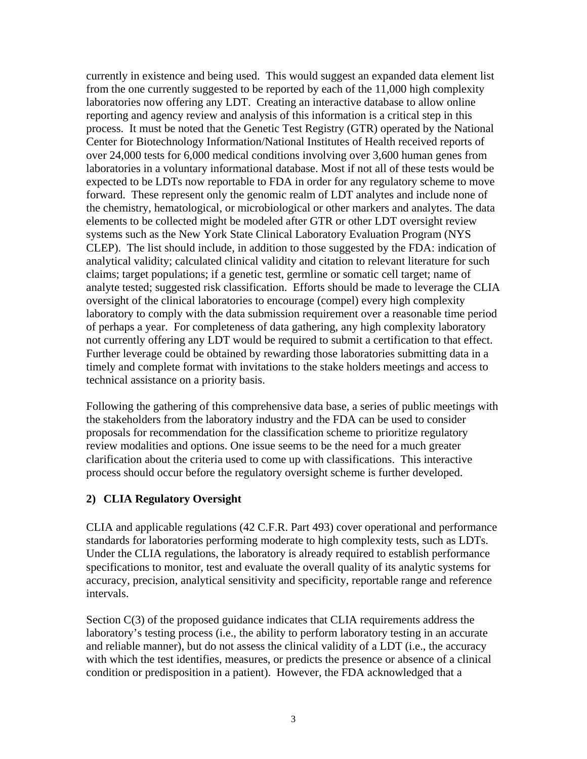currently in existence and being used. This would suggest an expanded data element list from the one currently suggested to be reported by each of the 11,000 high complexity laboratories now offering any LDT. Creating an interactive database to allow online reporting and agency review and analysis of this information is a critical step in this process. It must be noted that the Genetic Test Registry (GTR) operated by the National Center for Biotechnology Information/National Institutes of Health received reports of over 24,000 tests for 6,000 medical conditions involving over 3,600 human genes from laboratories in a voluntary informational database. Most if not all of these tests would be expected to be LDTs now reportable to FDA in order for any regulatory scheme to move forward. These represent only the genomic realm of LDT analytes and include none of the chemistry, hematological, or microbiological or other markers and analytes. The data elements to be collected might be modeled after GTR or other LDT oversight review systems such as the New York State Clinical Laboratory Evaluation Program (NYS CLEP). The list should include, in addition to those suggested by the FDA: indication of analytical validity; calculated clinical validity and citation to relevant literature for such claims; target populations; if a genetic test, germline or somatic cell target; name of analyte tested; suggested risk classification. Efforts should be made to leverage the CLIA oversight of the clinical laboratories to encourage (compel) every high complexity laboratory to comply with the data submission requirement over a reasonable time period of perhaps a year. For completeness of data gathering, any high complexity laboratory not currently offering any LDT would be required to submit a certification to that effect. Further leverage could be obtained by rewarding those laboratories submitting data in a timely and complete format with invitations to the stake holders meetings and access to technical assistance on a priority basis.

Following the gathering of this comprehensive data base, a series of public meetings with the stakeholders from the laboratory industry and the FDA can be used to consider proposals for recommendation for the classification scheme to prioritize regulatory review modalities and options. One issue seems to be the need for a much greater clarification about the criteria used to come up with classifications. This interactive process should occur before the regulatory oversight scheme is further developed.

## **2) CLIA Regulatory Oversight**

CLIA and applicable regulations (42 C.F.R. Part 493) cover operational and performance standards for laboratories performing moderate to high complexity tests, such as LDTs. Under the CLIA regulations, the laboratory is already required to establish performance specifications to monitor, test and evaluate the overall quality of its analytic systems for accuracy, precision, analytical sensitivity and specificity, reportable range and reference intervals.

Section C(3) of the proposed guidance indicates that CLIA requirements address the laboratory's testing process (i.e., the ability to perform laboratory testing in an accurate and reliable manner), but do not assess the clinical validity of a LDT (i.e., the accuracy with which the test identifies, measures, or predicts the presence or absence of a clinical condition or predisposition in a patient). However, the FDA acknowledged that a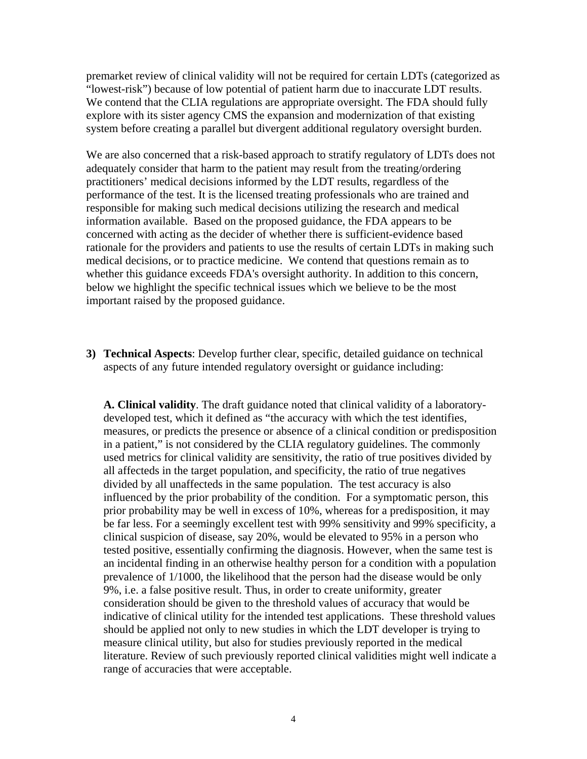premarket review of clinical validity will not be required for certain LDTs (categorized as "lowest-risk") because of low potential of patient harm due to inaccurate LDT results. We contend that the CLIA regulations are appropriate oversight. The FDA should fully explore with its sister agency CMS the expansion and modernization of that existing system before creating a parallel but divergent additional regulatory oversight burden.

We are also concerned that a risk-based approach to stratify regulatory of LDTs does not adequately consider that harm to the patient may result from the treating/ordering practitioners' medical decisions informed by the LDT results, regardless of the performance of the test. It is the licensed treating professionals who are trained and responsible for making such medical decisions utilizing the research and medical information available. Based on the proposed guidance, the FDA appears to be concerned with acting as the decider of whether there is sufficient-evidence based rationale for the providers and patients to use the results of certain LDTs in making such medical decisions, or to practice medicine. We contend that questions remain as to whether this guidance exceeds FDA's oversight authority. In addition to this concern, below we highlight the specific technical issues which we believe to be the most important raised by the proposed guidance.

**3) Technical Aspects**: Develop further clear, specific, detailed guidance on technical aspects of any future intended regulatory oversight or guidance including:

**A. Clinical validity**. The draft guidance noted that clinical validity of a laboratorydeveloped test, which it defined as "the accuracy with which the test identifies, measures, or predicts the presence or absence of a clinical condition or predisposition in a patient," is not considered by the CLIA regulatory guidelines. The commonly used metrics for clinical validity are sensitivity, the ratio of true positives divided by all affecteds in the target population, and specificity, the ratio of true negatives divided by all unaffecteds in the same population. The test accuracy is also influenced by the prior probability of the condition. For a symptomatic person, this prior probability may be well in excess of 10%, whereas for a predisposition, it may be far less. For a seemingly excellent test with 99% sensitivity and 99% specificity, a clinical suspicion of disease, say 20%, would be elevated to 95% in a person who tested positive, essentially confirming the diagnosis. However, when the same test is an incidental finding in an otherwise healthy person for a condition with a population prevalence of 1/1000, the likelihood that the person had the disease would be only 9%, i.e. a false positive result. Thus, in order to create uniformity, greater consideration should be given to the threshold values of accuracy that would be indicative of clinical utility for the intended test applications. These threshold values should be applied not only to new studies in which the LDT developer is trying to measure clinical utility, but also for studies previously reported in the medical literature. Review of such previously reported clinical validities might well indicate a range of accuracies that were acceptable.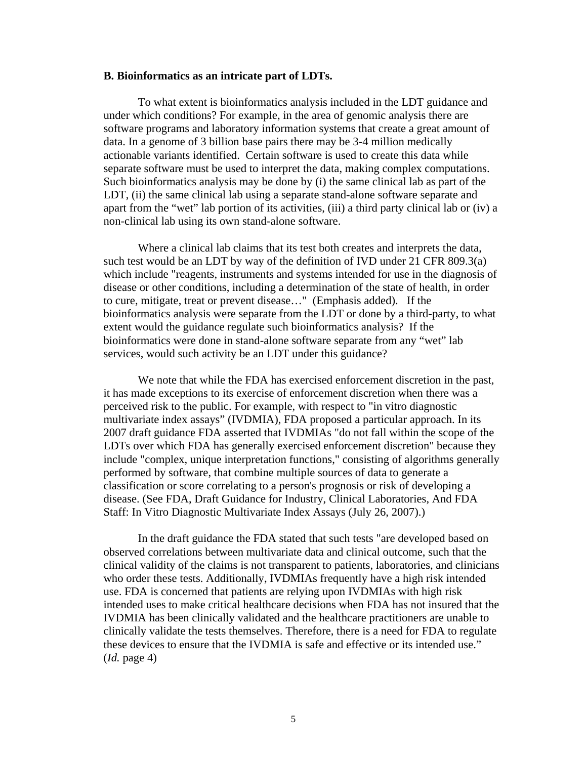#### **B. Bioinformatics as an intricate part of LDTs.**

To what extent is bioinformatics analysis included in the LDT guidance and under which conditions? For example, in the area of genomic analysis there are software programs and laboratory information systems that create a great amount of data. In a genome of 3 billion base pairs there may be 3-4 million medically actionable variants identified. Certain software is used to create this data while separate software must be used to interpret the data, making complex computations. Such bioinformatics analysis may be done by (i) the same clinical lab as part of the LDT, (ii) the same clinical lab using a separate stand-alone software separate and apart from the "wet" lab portion of its activities, (iii) a third party clinical lab or (iv) a non-clinical lab using its own stand-alone software.

Where a clinical lab claims that its test both creates and interprets the data, such test would be an LDT by way of the definition of IVD under 21 CFR 809.3(a) which include "reagents, instruments and systems intended for use in the diagnosis of disease or other conditions, including a determination of the state of health, in order to cure, mitigate, treat or prevent disease…" (Emphasis added). If the bioinformatics analysis were separate from the LDT or done by a third-party, to what extent would the guidance regulate such bioinformatics analysis? If the bioinformatics were done in stand-alone software separate from any "wet" lab services, would such activity be an LDT under this guidance?

We note that while the FDA has exercised enforcement discretion in the past, it has made exceptions to its exercise of enforcement discretion when there was a perceived risk to the public. For example, with respect to "in vitro diagnostic multivariate index assays" (IVDMIA), FDA proposed a particular approach. In its 2007 draft guidance FDA asserted that IVDMIAs "do not fall within the scope of the LDTs over which FDA has generally exercised enforcement discretion" because they include "complex, unique interpretation functions," consisting of algorithms generally performed by software, that combine multiple sources of data to generate a classification or score correlating to a person's prognosis or risk of developing a disease. (See FDA, Draft Guidance for Industry, Clinical Laboratories, And FDA Staff: In Vitro Diagnostic Multivariate Index Assays (July 26, 2007).)

In the draft guidance the FDA stated that such tests "are developed based on observed correlations between multivariate data and clinical outcome, such that the clinical validity of the claims is not transparent to patients, laboratories, and clinicians who order these tests. Additionally, IVDMIAs frequently have a high risk intended use. FDA is concerned that patients are relying upon IVDMIAs with high risk intended uses to make critical healthcare decisions when FDA has not insured that the IVDMIA has been clinically validated and the healthcare practitioners are unable to clinically validate the tests themselves. Therefore, there is a need for FDA to regulate these devices to ensure that the IVDMIA is safe and effective or its intended use." (*Id.* page 4)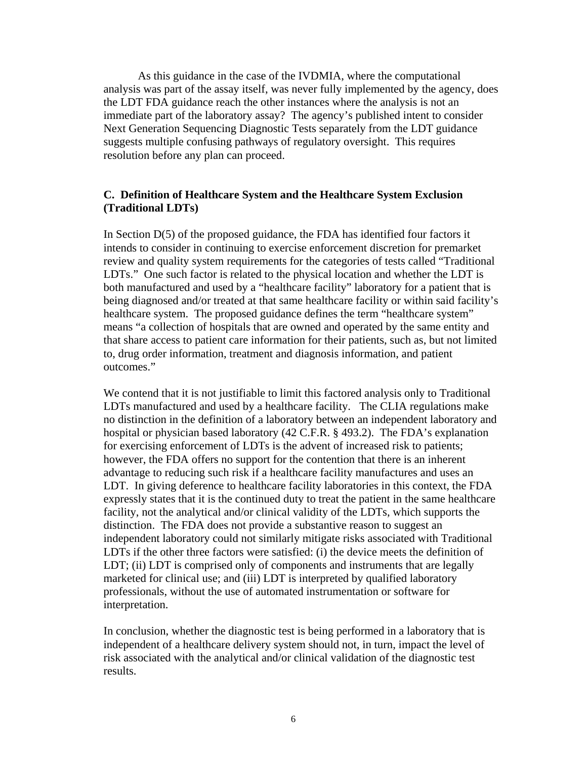As this guidance in the case of the IVDMIA, where the computational analysis was part of the assay itself, was never fully implemented by the agency, does the LDT FDA guidance reach the other instances where the analysis is not an immediate part of the laboratory assay? The agency's published intent to consider Next Generation Sequencing Diagnostic Tests separately from the LDT guidance suggests multiple confusing pathways of regulatory oversight. This requires resolution before any plan can proceed.

### **C. Definition of Healthcare System and the Healthcare System Exclusion (Traditional LDTs)**

In Section  $D(5)$  of the proposed guidance, the FDA has identified four factors it intends to consider in continuing to exercise enforcement discretion for premarket review and quality system requirements for the categories of tests called "Traditional LDTs." One such factor is related to the physical location and whether the LDT is both manufactured and used by a "healthcare facility" laboratory for a patient that is being diagnosed and/or treated at that same healthcare facility or within said facility's healthcare system. The proposed guidance defines the term "healthcare system" means "a collection of hospitals that are owned and operated by the same entity and that share access to patient care information for their patients, such as, but not limited to, drug order information, treatment and diagnosis information, and patient outcomes."

We contend that it is not justifiable to limit this factored analysis only to Traditional LDTs manufactured and used by a healthcare facility. The CLIA regulations make no distinction in the definition of a laboratory between an independent laboratory and hospital or physician based laboratory (42 C.F.R. § 493.2). The FDA's explanation for exercising enforcement of LDTs is the advent of increased risk to patients; however, the FDA offers no support for the contention that there is an inherent advantage to reducing such risk if a healthcare facility manufactures and uses an LDT. In giving deference to healthcare facility laboratories in this context, the FDA expressly states that it is the continued duty to treat the patient in the same healthcare facility, not the analytical and/or clinical validity of the LDTs, which supports the distinction. The FDA does not provide a substantive reason to suggest an independent laboratory could not similarly mitigate risks associated with Traditional LDTs if the other three factors were satisfied: (i) the device meets the definition of LDT; (ii) LDT is comprised only of components and instruments that are legally marketed for clinical use; and (iii) LDT is interpreted by qualified laboratory professionals, without the use of automated instrumentation or software for interpretation.

In conclusion, whether the diagnostic test is being performed in a laboratory that is independent of a healthcare delivery system should not, in turn, impact the level of risk associated with the analytical and/or clinical validation of the diagnostic test results.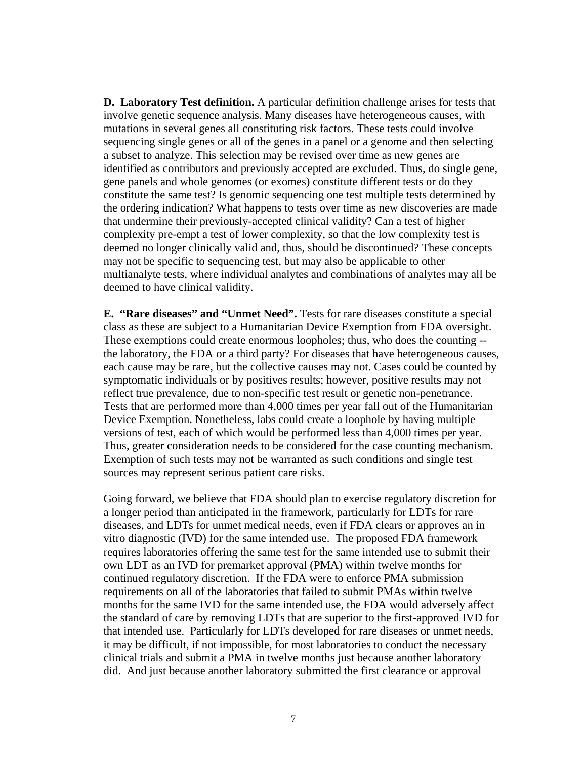**D. Laboratory Test definition.** A particular definition challenge arises for tests that involve genetic sequence analysis. Many diseases have heterogeneous causes, with mutations in several genes all constituting risk factors. These tests could involve sequencing single genes or all of the genes in a panel or a genome and then selecting a subset to analyze. This selection may be revised over time as new genes are identified as contributors and previously accepted are excluded. Thus, do single gene, gene panels and whole genomes (or exomes) constitute different tests or do they constitute the same test? Is genomic sequencing one test multiple tests determined by the ordering indication? What happens to tests over time as new discoveries are made that undermine their previously-accepted clinical validity? Can a test of higher complexity pre-empt a test of lower complexity, so that the low complexity test is deemed no longer clinically valid and, thus, should be discontinued? These concepts may not be specific to sequencing test, but may also be applicable to other multianalyte tests, where individual analytes and combinations of analytes may all be deemed to have clinical validity.

**E. "Rare diseases" and "Unmet Need".** Tests for rare diseases constitute a special class as these are subject to a Humanitarian Device Exemption from FDA oversight. These exemptions could create enormous loopholes; thus, who does the counting - the laboratory, the FDA or a third party? For diseases that have heterogeneous causes, each cause may be rare, but the collective causes may not. Cases could be counted by symptomatic individuals or by positives results; however, positive results may not reflect true prevalence, due to non-specific test result or genetic non-penetrance. Tests that are performed more than 4,000 times per year fall out of the Humanitarian Device Exemption. Nonetheless, labs could create a loophole by having multiple versions of test, each of which would be performed less than 4,000 times per year. Thus, greater consideration needs to be considered for the case counting mechanism. Exemption of such tests may not be warranted as such conditions and single test sources may represent serious patient care risks.

Going forward, we believe that FDA should plan to exercise regulatory discretion for a longer period than anticipated in the framework, particularly for LDTs for rare diseases, and LDTs for unmet medical needs, even if FDA clears or approves an in vitro diagnostic (IVD) for the same intended use. The proposed FDA framework requires laboratories offering the same test for the same intended use to submit their own LDT as an IVD for premarket approval (PMA) within twelve months for continued regulatory discretion. If the FDA were to enforce PMA submission requirements on all of the laboratories that failed to submit PMAs within twelve months for the same IVD for the same intended use, the FDA would adversely affect the standard of care by removing LDTs that are superior to the first-approved IVD for that intended use. Particularly for LDTs developed for rare diseases or unmet needs, it may be difficult, if not impossible, for most laboratories to conduct the necessary clinical trials and submit a PMA in twelve months just because another laboratory did. And just because another laboratory submitted the first clearance or approval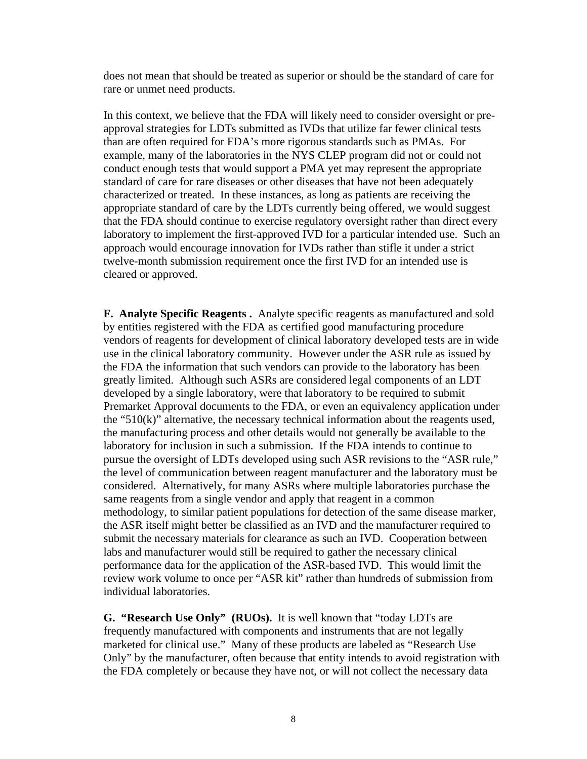does not mean that should be treated as superior or should be the standard of care for rare or unmet need products.

In this context, we believe that the FDA will likely need to consider oversight or preapproval strategies for LDTs submitted as IVDs that utilize far fewer clinical tests than are often required for FDA's more rigorous standards such as PMAs. For example, many of the laboratories in the NYS CLEP program did not or could not conduct enough tests that would support a PMA yet may represent the appropriate standard of care for rare diseases or other diseases that have not been adequately characterized or treated. In these instances, as long as patients are receiving the appropriate standard of care by the LDTs currently being offered, we would suggest that the FDA should continue to exercise regulatory oversight rather than direct every laboratory to implement the first-approved IVD for a particular intended use. Such an approach would encourage innovation for IVDs rather than stifle it under a strict twelve-month submission requirement once the first IVD for an intended use is cleared or approved.

**F. Analyte Specific Reagents .** Analyte specific reagents as manufactured and sold by entities registered with the FDA as certified good manufacturing procedure vendors of reagents for development of clinical laboratory developed tests are in wide use in the clinical laboratory community. However under the ASR rule as issued by the FDA the information that such vendors can provide to the laboratory has been greatly limited. Although such ASRs are considered legal components of an LDT developed by a single laboratory, were that laboratory to be required to submit Premarket Approval documents to the FDA, or even an equivalency application under the "510(k)" alternative, the necessary technical information about the reagents used, the manufacturing process and other details would not generally be available to the laboratory for inclusion in such a submission. If the FDA intends to continue to pursue the oversight of LDTs developed using such ASR revisions to the "ASR rule," the level of communication between reagent manufacturer and the laboratory must be considered. Alternatively, for many ASRs where multiple laboratories purchase the same reagents from a single vendor and apply that reagent in a common methodology, to similar patient populations for detection of the same disease marker, the ASR itself might better be classified as an IVD and the manufacturer required to submit the necessary materials for clearance as such an IVD. Cooperation between labs and manufacturer would still be required to gather the necessary clinical performance data for the application of the ASR-based IVD. This would limit the review work volume to once per "ASR kit" rather than hundreds of submission from individual laboratories.

**G. "Research Use Only" (RUOs).** It is well known that "today LDTs are frequently manufactured with components and instruments that are not legally marketed for clinical use." Many of these products are labeled as "Research Use Only" by the manufacturer, often because that entity intends to avoid registration with the FDA completely or because they have not, or will not collect the necessary data